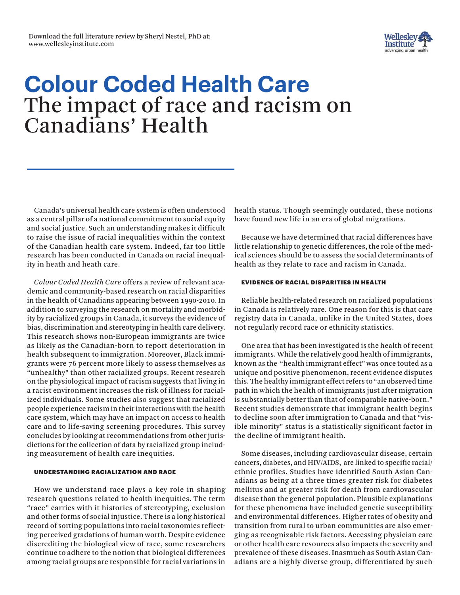

# **Colour Coded Health Care** The impact of race and racism on Canadians' Health

Canada's universal health care system is often understood as a central pillar of a national commitment to social equity and social justice. Such an understanding makes it difficult to raise the issue of racial inequalities within the context of the Canadian health care system. Indeed, far too little research has been conducted in Canada on racial inequality in heath and heath care.

*Colour Coded Health Care* offers a review of relevant academic and community-based research on racial disparities in the health of Canadians appearing between 1990-2010. In addition to surveying the research on mortality and morbidity by racialized groups in Canada, it surveys the evidence of bias, discrimination and stereotyping in health care delivery. This research shows non-European immigrants are twice as likely as the Canadian-born to report deterioration in health subsequent to immigration. Moreover, Black immigrants were 76 percent more likely to assess themselves as "unhealthy" than other racialized groups. Recent research on the physiological impact of racism suggests that living in a racist environment increases the risk of illness for racialized individuals. Some studies also suggest that racialized people experience racism in their interactions with the health care system, which may have an impact on access to health care and to life-saving screening procedures. This survey concludes by looking at recommendations from other jurisdictions for the collection of data by racialized group including measurement of health care inequities.

## UNDERSTANDING RACIALIZATION AND RACE

How we understand race plays a key role in shaping research questions related to health inequities. The term "race" carries with it histories of stereotyping, exclusion and other forms of social injustice. There is a long historical record of sorting populations into racial taxonomies reflecting perceived gradations of human worth. Despite evidence discrediting the biological view of race, some researchers continue to adhere to the notion that biological differences among racial groups are responsible for racial variations in

health status. Though seemingly outdated, these notions have found new life in an era of global migrations.

Because we have determined that racial differences have little relationship to genetic differences, the role of the medical sciences should be to assess the social determinants of health as they relate to race and racism in Canada.

#### EVIDENCE OF RACIAL DISPARITIES IN HEALTH

Reliable health-related research on racialized populations in Canada is relatively rare. One reason for this is that care registry data in Canada, unlike in the United States, does not regularly record race or ethnicity statistics.

One area that has been investigated is the health of recent immigrants. While the relatively good health of immigrants, known as the "health immigrant effect" was once touted as a unique and positive phenomenon, recent evidence disputes this. The healthy immigrant effect refers to "an observed time path in which the health of immigrants just after migration is substantially better than that of comparable native-born." Recent studies demonstrate that immigrant health begins to decline soon after immigration to Canada and that "visible minority" status is a statistically significant factor in the decline of immigrant health.

Some diseases, including cardiovascular disease, certain cancers, diabetes, and HIV/AIDS, are linked to specific racial/ ethnic profiles. Studies have identified South Asian Canadians as being at a three times greater risk for diabetes mellitus and at greater risk for death from cardiovascular disease than the general population. Plausible explanations for these phenomena have included genetic susceptibility and environmental differences. Higher rates of obesity and transition from rural to urban communities are also emerging as recognizable risk factors. Accessing physician care or other health care resources also impacts the severity and prevalence of these diseases. Inasmuch as South Asian Canadians are a highly diverse group, differentiated by such